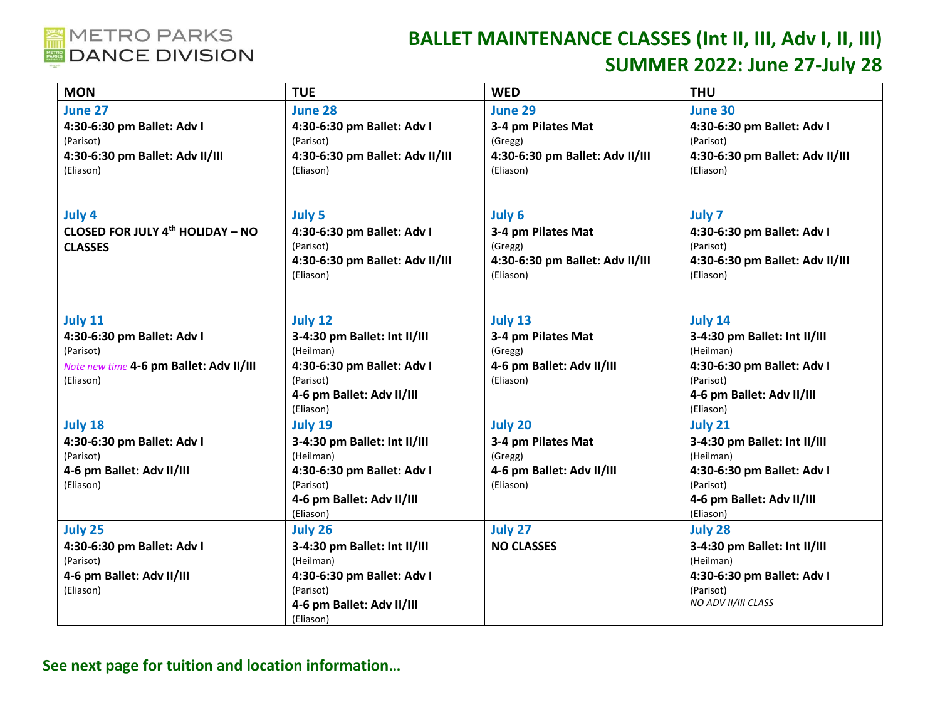

## **BALLET MAINTENANCE CLASSES (Int II, III, Adv I, II, III) SUMMER 2022: June 27-July 28**

| <b>MON</b>                              | <b>TUE</b>                      | <b>WED</b>                      | <b>THU</b>                      |
|-----------------------------------------|---------------------------------|---------------------------------|---------------------------------|
| June 27                                 | June 28                         | <b>June 29</b>                  | <b>June 30</b>                  |
| 4:30-6:30 pm Ballet: Adv I              | 4:30-6:30 pm Ballet: Adv I      | 3-4 pm Pilates Mat              | 4:30-6:30 pm Ballet: Adv I      |
| (Parisot)                               | (Parisot)                       | (Gregg)                         | (Parisot)                       |
| 4:30-6:30 pm Ballet: Adv II/III         | 4:30-6:30 pm Ballet: Adv II/III | 4:30-6:30 pm Ballet: Adv II/III | 4:30-6:30 pm Ballet: Adv II/III |
| (Eliason)                               | (Eliason)                       | (Eliason)                       | (Eliason)                       |
|                                         |                                 |                                 |                                 |
| July 4                                  | <b>July 5</b>                   | July 6                          | <b>July 7</b>                   |
| <b>CLOSED FOR JULY 4th HOLIDAY - NO</b> | 4:30-6:30 pm Ballet: Adv I      | 3-4 pm Pilates Mat              | 4:30-6:30 pm Ballet: Adv I      |
| <b>CLASSES</b>                          | (Parisot)                       | (Gregg)                         | (Parisot)                       |
|                                         | 4:30-6:30 pm Ballet: Adv II/III | 4:30-6:30 pm Ballet: Adv II/III | 4:30-6:30 pm Ballet: Adv II/III |
|                                         | (Eliason)                       | (Eliason)                       | (Eliason)                       |
|                                         |                                 |                                 |                                 |
|                                         |                                 |                                 |                                 |
| <b>July 11</b>                          | July 12                         | July 13                         | <b>July 14</b>                  |
| 4:30-6:30 pm Ballet: Adv I              | 3-4:30 pm Ballet: Int II/III    | 3-4 pm Pilates Mat              | 3-4:30 pm Ballet: Int II/III    |
| (Parisot)                               | (Heilman)                       | (Gregg)                         | (Heilman)                       |
| Note new time 4-6 pm Ballet: Adv II/III | 4:30-6:30 pm Ballet: Adv I      | 4-6 pm Ballet: Adv II/III       | 4:30-6:30 pm Ballet: Adv I      |
| (Eliason)                               | (Parisot)                       | (Eliason)                       | (Parisot)                       |
|                                         | 4-6 pm Ballet: Adv II/III       |                                 | 4-6 pm Ballet: Adv II/III       |
|                                         | (Eliason)                       |                                 | (Eliason)                       |
| July 18                                 | July 19                         | July 20                         | July 21                         |
| 4:30-6:30 pm Ballet: Adv I              | 3-4:30 pm Ballet: Int II/III    | 3-4 pm Pilates Mat              | 3-4:30 pm Ballet: Int II/III    |
| (Parisot)                               | (Heilman)                       | (Gregg)                         | (Heilman)                       |
| 4-6 pm Ballet: Adv II/III               | 4:30-6:30 pm Ballet: Adv I      | 4-6 pm Ballet: Adv II/III       | 4:30-6:30 pm Ballet: Adv I      |
| (Eliason)                               | (Parisot)                       | (Eliason)                       | (Parisot)                       |
|                                         | 4-6 pm Ballet: Adv II/III       |                                 | 4-6 pm Ballet: Adv II/III       |
|                                         | (Eliason)                       |                                 | (Eliason)                       |
| July 25                                 | July 26                         | July 27                         | July 28                         |
| 4:30-6:30 pm Ballet: Adv I              | 3-4:30 pm Ballet: Int II/III    | <b>NO CLASSES</b>               | 3-4:30 pm Ballet: Int II/III    |
| (Parisot)                               | (Heilman)                       |                                 | (Heilman)                       |
| 4-6 pm Ballet: Adv II/III               | 4:30-6:30 pm Ballet: Adv I      |                                 | 4:30-6:30 pm Ballet: Adv I      |
| (Eliason)                               | (Parisot)                       |                                 | (Parisot)                       |
|                                         | 4-6 pm Ballet: Adv II/III       |                                 | NO ADV II/III CLASS             |
|                                         | (Eliason)                       |                                 |                                 |

**See next page for tuition and location information…**